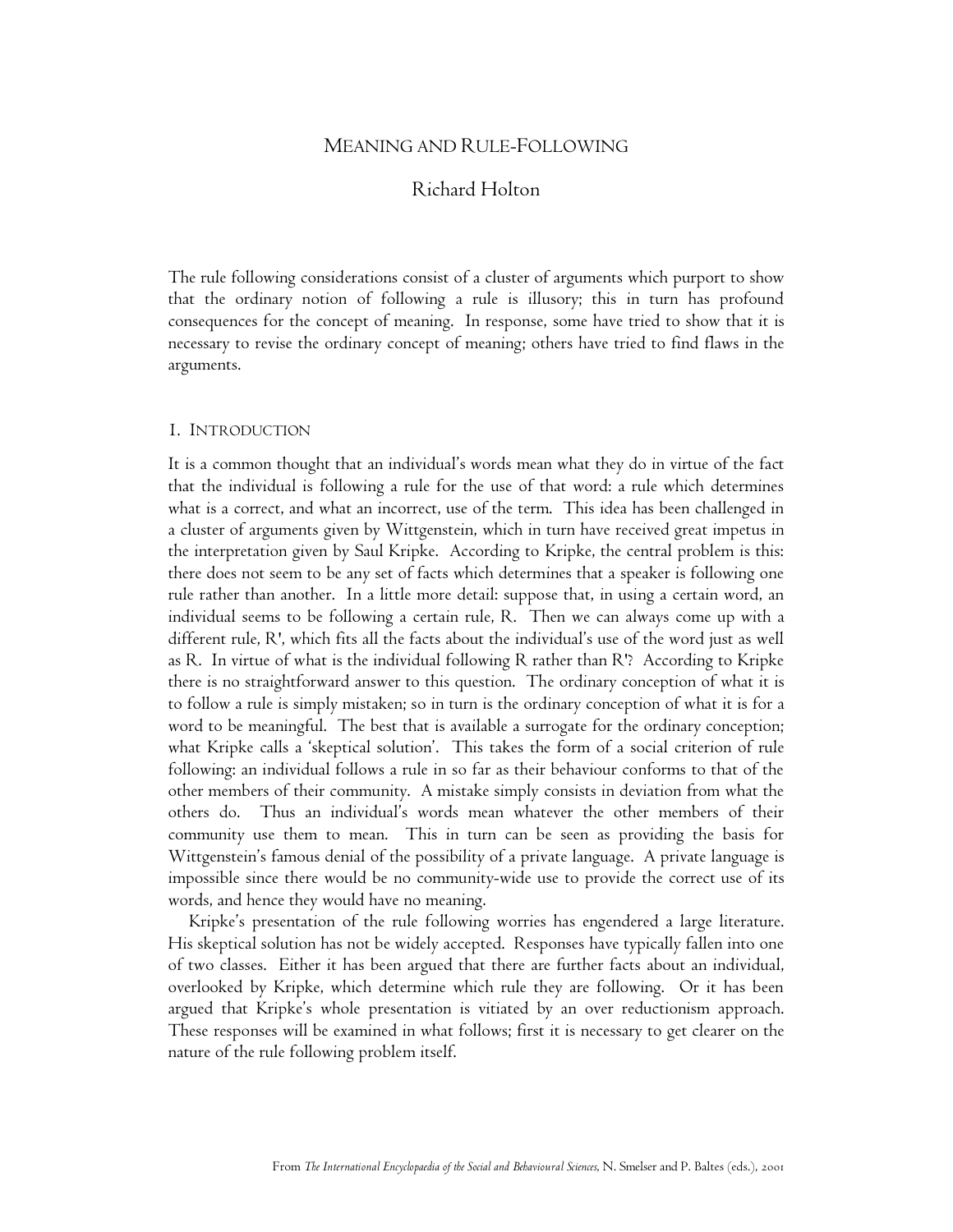## MEANING AND RULE-FOLLOWING

# Richard Holton

The rule following considerations consist of a cluster of arguments which purport to show that the ordinary notion of following a rule is illusory; this in turn has profound consequences for the concept of meaning. In response, some have tried to show that it is necessary to revise the ordinary concept of meaning; others have tried to find flaws in the arguments.

#### 1. INTRODUCTION

It is a common thought that an individual's words mean what they do in virtue of the fact that the individual is following a rule for the use of that word: a rule which determines what is a correct, and what an incorrect, use of the term. This idea has been challenged in a cluster of arguments given by Wittgenstein, which in turn have received great impetus in the interpretation given by Saul Kripke. According to Kripke, the central problem is this: there does not seem to be any set of facts which determines that a speaker is following one rule rather than another. In a little more detail: suppose that, in using a certain word, an individual seems to be following a certain rule, R. Then we can always come up with a different rule, R', which fits all the facts about the individual's use of the word just as well as R. In virtue of what is the individual following R rather than R'? According to Kripke there is no straightforward answer to this question. The ordinary conception of what it is to follow a rule is simply mistaken; so in turn is the ordinary conception of what it is for a word to be meaningful. The best that is available a surrogate for the ordinary conception; what Kripke calls a 'skeptical solution'. This takes the form of a social criterion of rule following: an individual follows a rule in so far as their behaviour conforms to that of the other members of their community. A mistake simply consists in deviation from what the others do. Thus an individual's words mean whatever the other members of their community use them to mean. This in turn can be seen as providing the basis for Wittgenstein's famous denial of the possibility of a private language. A private language is impossible since there would be no community-wide use to provide the correct use of its words, and hence they would have no meaning.

Kripke's presentation of the rule following worries has engendered a large literature. His skeptical solution has not be widely accepted. Responses have typically fallen into one of two classes. Either it has been argued that there are further facts about an individual, overlooked by Kripke, which determine which rule they are following. Or it has been argued that Kripke's whole presentation is vitiated by an over reductionism approach. These responses will be examined in what follows; first it is necessary to get clearer on the nature of the rule following problem itself.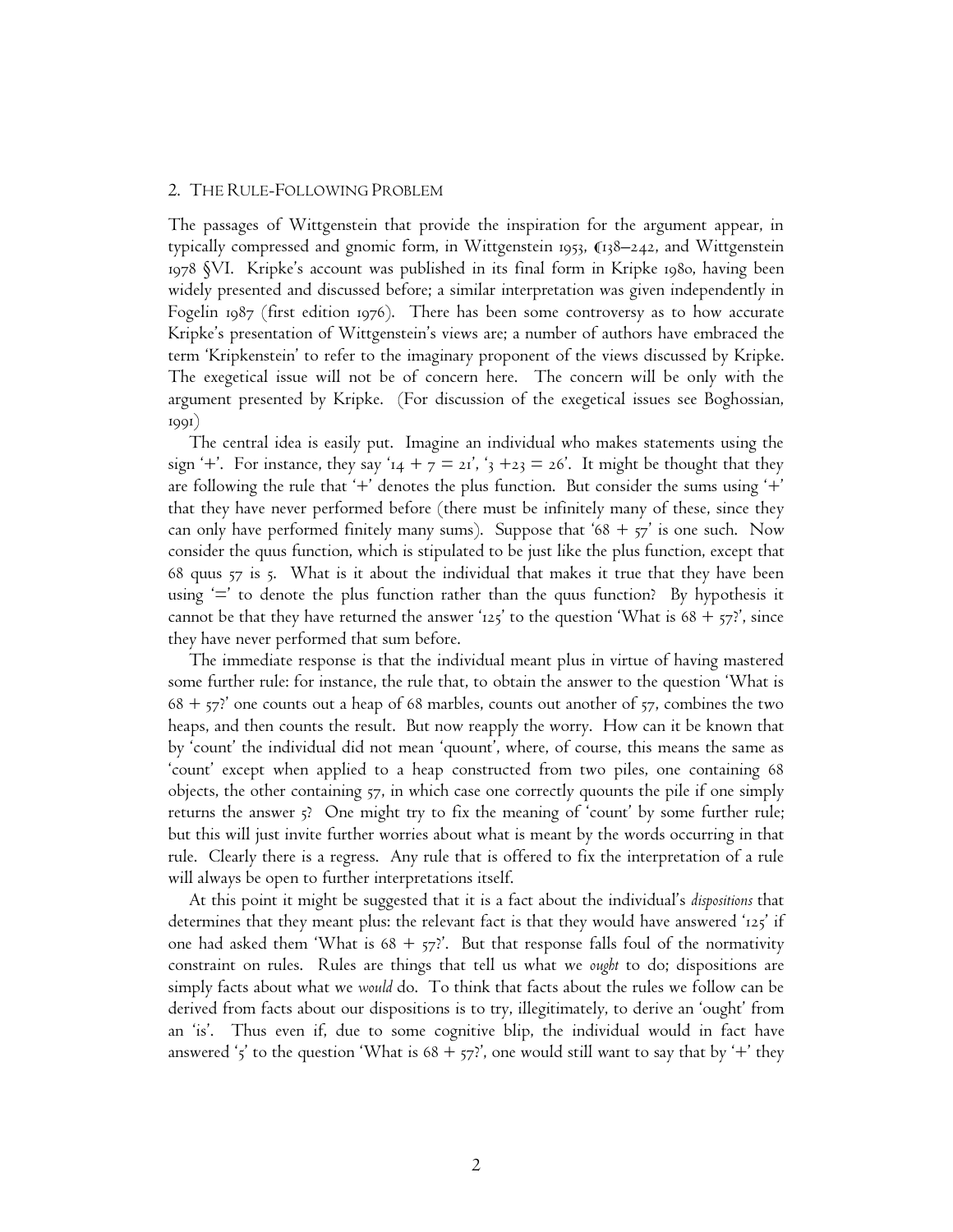#### 2. THE RULE-FOLLOWING PROBLEM

The passages of Wittgenstein that provide the inspiration for the argument appear, in typically compressed and gnomic form, in Wittgenstein 1953, ¶138–242, and Wittgenstein 1978 §VI. Kripke's account was published in its final form in Kripke 1980, having been widely presented and discussed before; a similar interpretation was given independently in Fogelin 1987 (first edition 1976). There has been some controversy as to how accurate Kripke's presentation of Wittgenstein's views are; a number of authors have embraced the term 'Kripkenstein' to refer to the imaginary proponent of the views discussed by Kripke. The exegetical issue will not be of concern here. The concern will be only with the argument presented by Kripke. (For discussion of the exegetical issues see Boghossian, 1991)

The central idea is easily put. Imagine an individual who makes statements using the sign '+'. For instance, they say '14 +  $7 = 21'$ , '3 +23 = 26'. It might be thought that they are following the rule that  $+$ ' denotes the plus function. But consider the sums using  $+$ ' that they have never performed before (there must be infinitely many of these, since they can only have performed finitely many sums). Suppose that '68 +  $57'$  is one such. Now consider the quus function, which is stipulated to be just like the plus function, except that 68 quus 57 is 5. What is it about the individual that makes it true that they have been using  $\equiv$  to denote the plus function rather than the quus function? By hypothesis it cannot be that they have returned the answer '125' to the question 'What is  $68 + 57$ '', since they have never performed that sum before.

The immediate response is that the individual meant plus in virtue of having mastered some further rule: for instance, the rule that, to obtain the answer to the question 'What is  $68 + 57$ ?' one counts out a heap of 68 marbles, counts out another of 57, combines the two heaps, and then counts the result. But now reapply the worry. How can it be known that by 'count' the individual did not mean 'quount', where, of course, this means the same as 'count' except when applied to a heap constructed from two piles, one containing 68 objects, the other containing 57, in which case one correctly quounts the pile if one simply returns the answer 5? One might try to fix the meaning of 'count' by some further rule; but this will just invite further worries about what is meant by the words occurring in that rule. Clearly there is a regress. Any rule that is offered to fix the interpretation of a rule will always be open to further interpretations itself.

At this point it might be suggested that it is a fact about the individual's *dispositions* that determines that they meant plus: the relevant fact is that they would have answered '125' if one had asked them 'What is  $68 + 57$ '. But that response falls foul of the normativity constraint on rules. Rules are things that tell us what we *ought* to do; dispositions are simply facts about what we *would* do. To think that facts about the rules we follow can be derived from facts about our dispositions is to try, illegitimately, to derive an 'ought' from an 'is'. Thus even if, due to some cognitive blip, the individual would in fact have answered '5' to the question 'What is  $68 + 57$ ', one would still want to say that by '+' they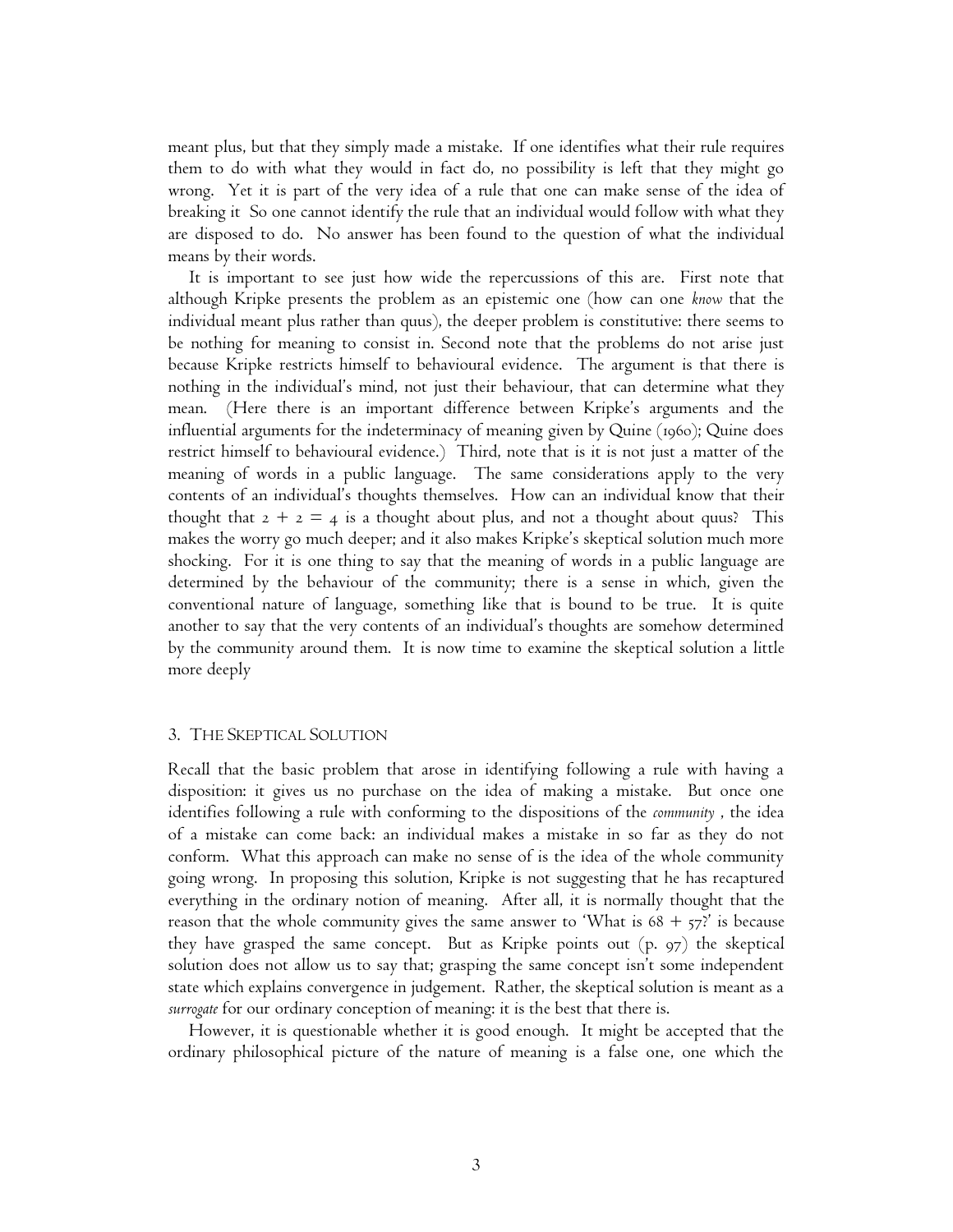meant plus, but that they simply made a mistake. If one identifies what their rule requires them to do with what they would in fact do, no possibility is left that they might go wrong. Yet it is part of the very idea of a rule that one can make sense of the idea of breaking it So one cannot identify the rule that an individual would follow with what they are disposed to do. No answer has been found to the question of what the individual means by their words.

It is important to see just how wide the repercussions of this are. First note that although Kripke presents the problem as an epistemic one (how can one *know* that the individual meant plus rather than quus), the deeper problem is constitutive: there seems to be nothing for meaning to consist in. Second note that the problems do not arise just because Kripke restricts himself to behavioural evidence. The argument is that there is nothing in the individual's mind, not just their behaviour, that can determine what they mean. (Here there is an important difference between Kripke's arguments and the influential arguments for the indeterminacy of meaning given by Quine (1960); Quine does restrict himself to behavioural evidence.) Third, note that is it is not just a matter of the meaning of words in a public language. The same considerations apply to the very contents of an individual's thoughts themselves. How can an individual know that their thought that  $2 + 2 = 4$  is a thought about plus, and not a thought about quus? This makes the worry go much deeper; and it also makes Kripke's skeptical solution much more shocking. For it is one thing to say that the meaning of words in a public language are determined by the behaviour of the community; there is a sense in which, given the conventional nature of language, something like that is bound to be true. It is quite another to say that the very contents of an individual's thoughts are somehow determined by the community around them. It is now time to examine the skeptical solution a little more deeply

### 3. THE SKEPTICAL SOLUTION

Recall that the basic problem that arose in identifying following a rule with having a disposition: it gives us no purchase on the idea of making a mistake. But once one identifies following a rule with conforming to the dispositions of the *community* , the idea of a mistake can come back: an individual makes a mistake in so far as they do not conform. What this approach can make no sense of is the idea of the whole community going wrong. In proposing this solution, Kripke is not suggesting that he has recaptured everything in the ordinary notion of meaning. After all, it is normally thought that the reason that the whole community gives the same answer to 'What is  $68 + 57$ ' is because they have grasped the same concept. But as Kripke points out (p. 97) the skeptical solution does not allow us to say that; grasping the same concept isn't some independent state which explains convergence in judgement. Rather, the skeptical solution is meant as a *surrogate* for our ordinary conception of meaning: it is the best that there is.

However, it is questionable whether it is good enough. It might be accepted that the ordinary philosophical picture of the nature of meaning is a false one, one which the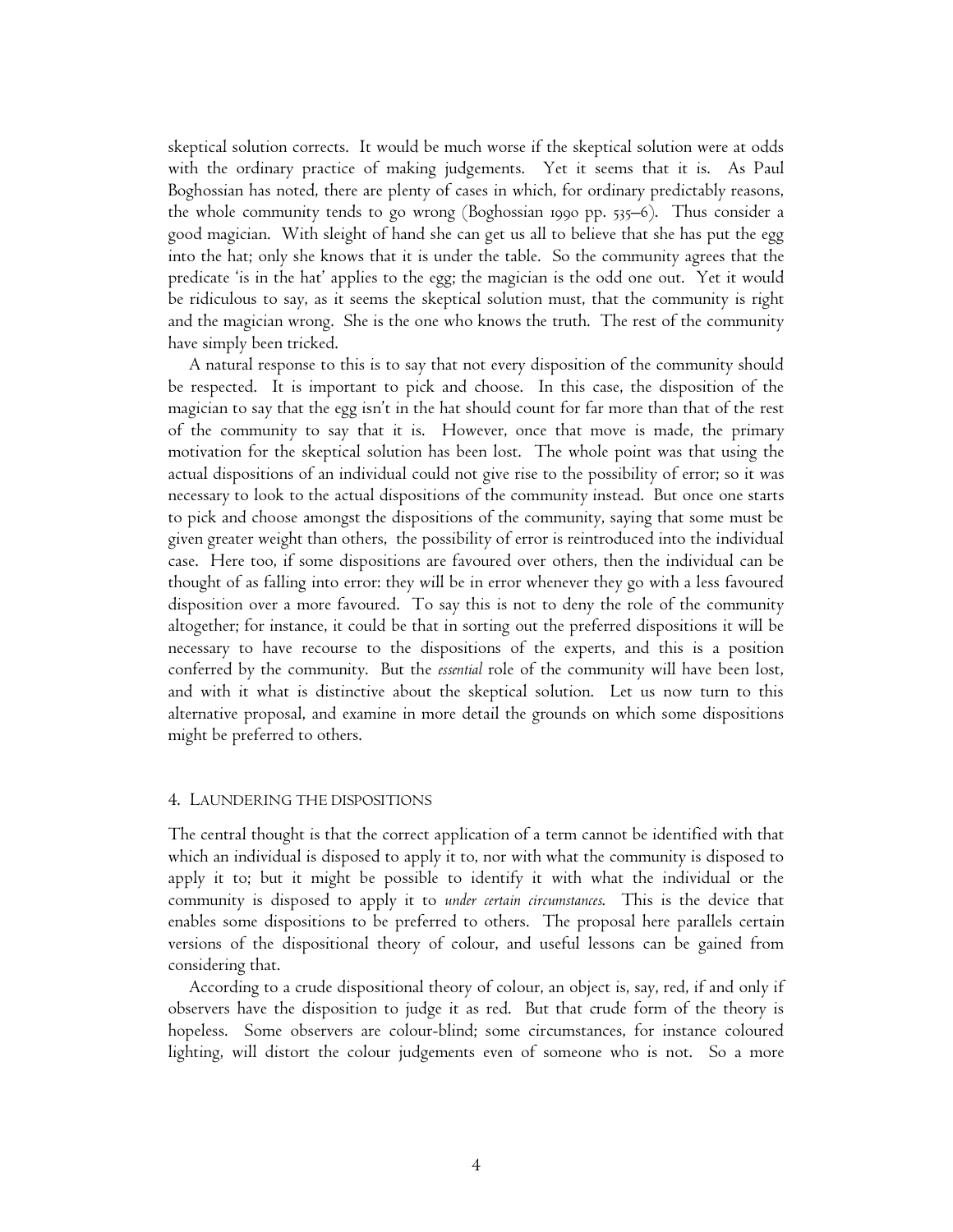skeptical solution corrects. It would be much worse if the skeptical solution were at odds with the ordinary practice of making judgements. Yet it seems that it is. As Paul Boghossian has noted, there are plenty of cases in which, for ordinary predictably reasons, the whole community tends to go wrong (Boghossian 1990 pp. 535–6). Thus consider a good magician. With sleight of hand she can get us all to believe that she has put the egg into the hat; only she knows that it is under the table. So the community agrees that the predicate 'is in the hat' applies to the egg; the magician is the odd one out. Yet it would be ridiculous to say, as it seems the skeptical solution must, that the community is right and the magician wrong. She is the one who knows the truth. The rest of the community have simply been tricked.

A natural response to this is to say that not every disposition of the community should be respected. It is important to pick and choose. In this case, the disposition of the magician to say that the egg isn't in the hat should count for far more than that of the rest of the community to say that it is. However, once that move is made, the primary motivation for the skeptical solution has been lost. The whole point was that using the actual dispositions of an individual could not give rise to the possibility of error; so it was necessary to look to the actual dispositions of the community instead. But once one starts to pick and choose amongst the dispositions of the community, saying that some must be given greater weight than others, the possibility of error is reintroduced into the individual case. Here too, if some dispositions are favoured over others, then the individual can be thought of as falling into error: they will be in error whenever they go with a less favoured disposition over a more favoured. To say this is not to deny the role of the community altogether; for instance, it could be that in sorting out the preferred dispositions it will be necessary to have recourse to the dispositions of the experts, and this is a position conferred by the community. But the *essential* role of the community will have been lost, and with it what is distinctive about the skeptical solution. Let us now turn to this alternative proposal, and examine in more detail the grounds on which some dispositions might be preferred to others.

#### 4. LAUNDERING THE DISPOSITIONS

The central thought is that the correct application of a term cannot be identified with that which an individual is disposed to apply it to, nor with what the community is disposed to apply it to; but it might be possible to identify it with what the individual or the community is disposed to apply it to *under certain circumstances*. This is the device that enables some dispositions to be preferred to others. The proposal here parallels certain versions of the dispositional theory of colour, and useful lessons can be gained from considering that.

According to a crude dispositional theory of colour, an object is, say, red, if and only if observers have the disposition to judge it as red. But that crude form of the theory is hopeless. Some observers are colour-blind; some circumstances, for instance coloured lighting, will distort the colour judgements even of someone who is not. So a more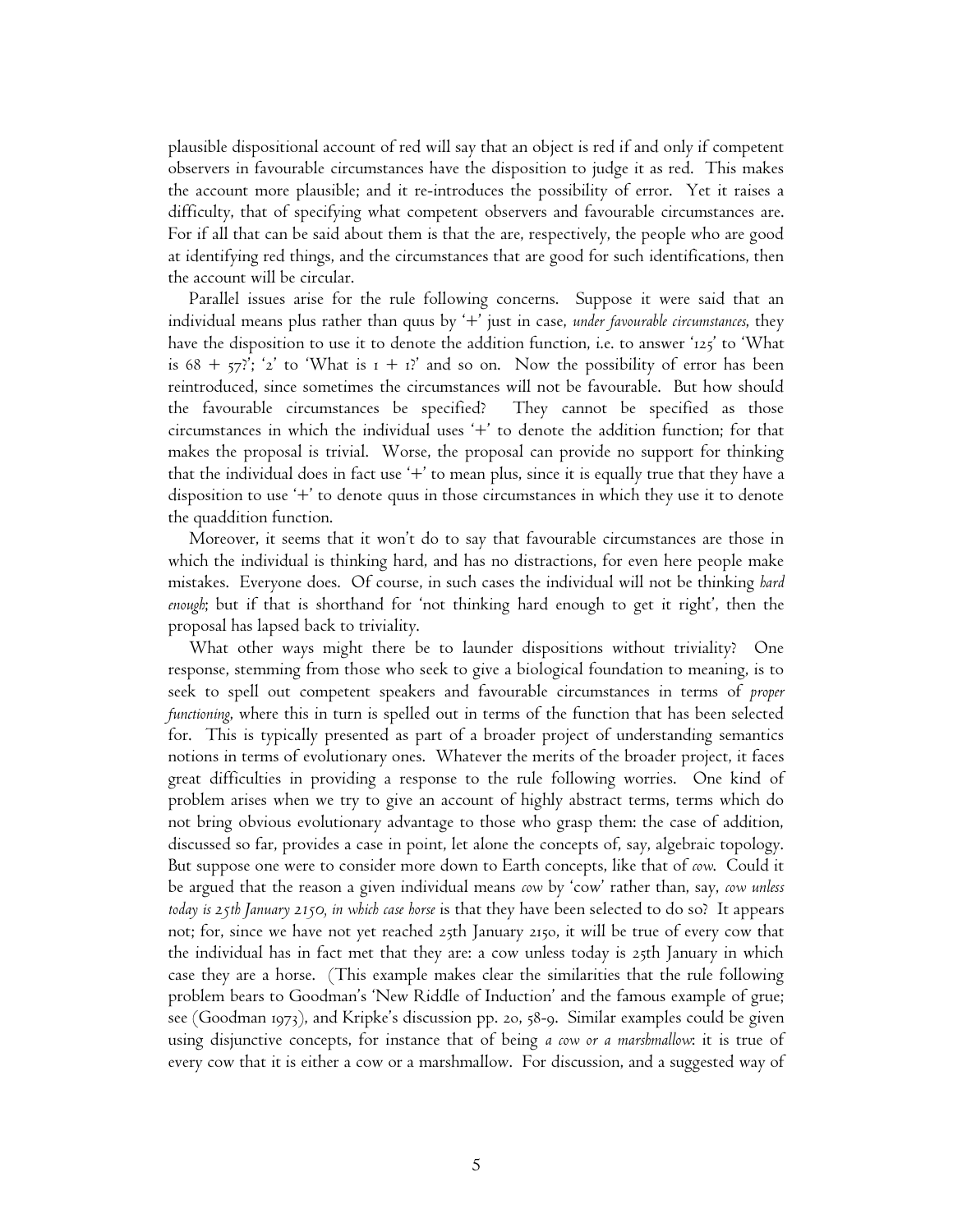plausible dispositional account of red will say that an object is red if and only if competent observers in favourable circumstances have the disposition to judge it as red. This makes the account more plausible; and it re-introduces the possibility of error. Yet it raises a difficulty, that of specifying what competent observers and favourable circumstances are. For if all that can be said about them is that the are, respectively, the people who are good at identifying red things, and the circumstances that are good for such identifications, then the account will be circular.

Parallel issues arise for the rule following concerns. Suppose it were said that an individual means plus rather than quus by '+' just in case, *under favourable circumstances*, they have the disposition to use it to denote the addition function, i.e. to answer '125' to 'What is 68 +  $57$ ?'; '2' to 'What is  $1 + 1$ ?' and so on. Now the possibility of error has been reintroduced, since sometimes the circumstances will not be favourable. But how should the favourable circumstances be specified? They cannot be specified as those circumstances in which the individual uses '+' to denote the addition function; for that makes the proposal is trivial. Worse, the proposal can provide no support for thinking that the individual does in fact use  $+$ ' to mean plus, since it is equally true that they have a disposition to use '+' to denote quus in those circumstances in which they use it to denote the quaddition function.

Moreover, it seems that it won't do to say that favourable circumstances are those in which the individual is thinking hard, and has no distractions, for even here people make mistakes. Everyone does. Of course, in such cases the individual will not be thinking *hard enough*; but if that is shorthand for 'not thinking hard enough to get it right', then the proposal has lapsed back to triviality.

What other ways might there be to launder dispositions without triviality? One response, stemming from those who seek to give a biological foundation to meaning, is to seek to spell out competent speakers and favourable circumstances in terms of *proper functioning*, where this in turn is spelled out in terms of the function that has been selected for. This is typically presented as part of a broader project of understanding semantics notions in terms of evolutionary ones. Whatever the merits of the broader project, it faces great difficulties in providing a response to the rule following worries. One kind of problem arises when we try to give an account of highly abstract terms, terms which do not bring obvious evolutionary advantage to those who grasp them: the case of addition, discussed so far, provides a case in point, let alone the concepts of, say, algebraic topology. But suppose one were to consider more down to Earth concepts, like that of *cow*. Could it be argued that the reason a given individual means *cow* by 'cow' rather than, say, *cow unless today is 25th January 2150, in which case horse* is that they have been selected to do so? It appears not; for, since we have not yet reached 25th January 2150, it will be true of every cow that the individual has in fact met that they are: a cow unless today is 25th January in which case they are a horse. (This example makes clear the similarities that the rule following problem bears to Goodman's 'New Riddle of Induction' and the famous example of grue; see (Goodman 1973), and Kripke's discussion pp. 20, 58-9. Similar examples could be given using disjunctive concepts, for instance that of being *a cow or a marshmallow*: it is true of every cow that it is either a cow or a marshmallow. For discussion, and a suggested way of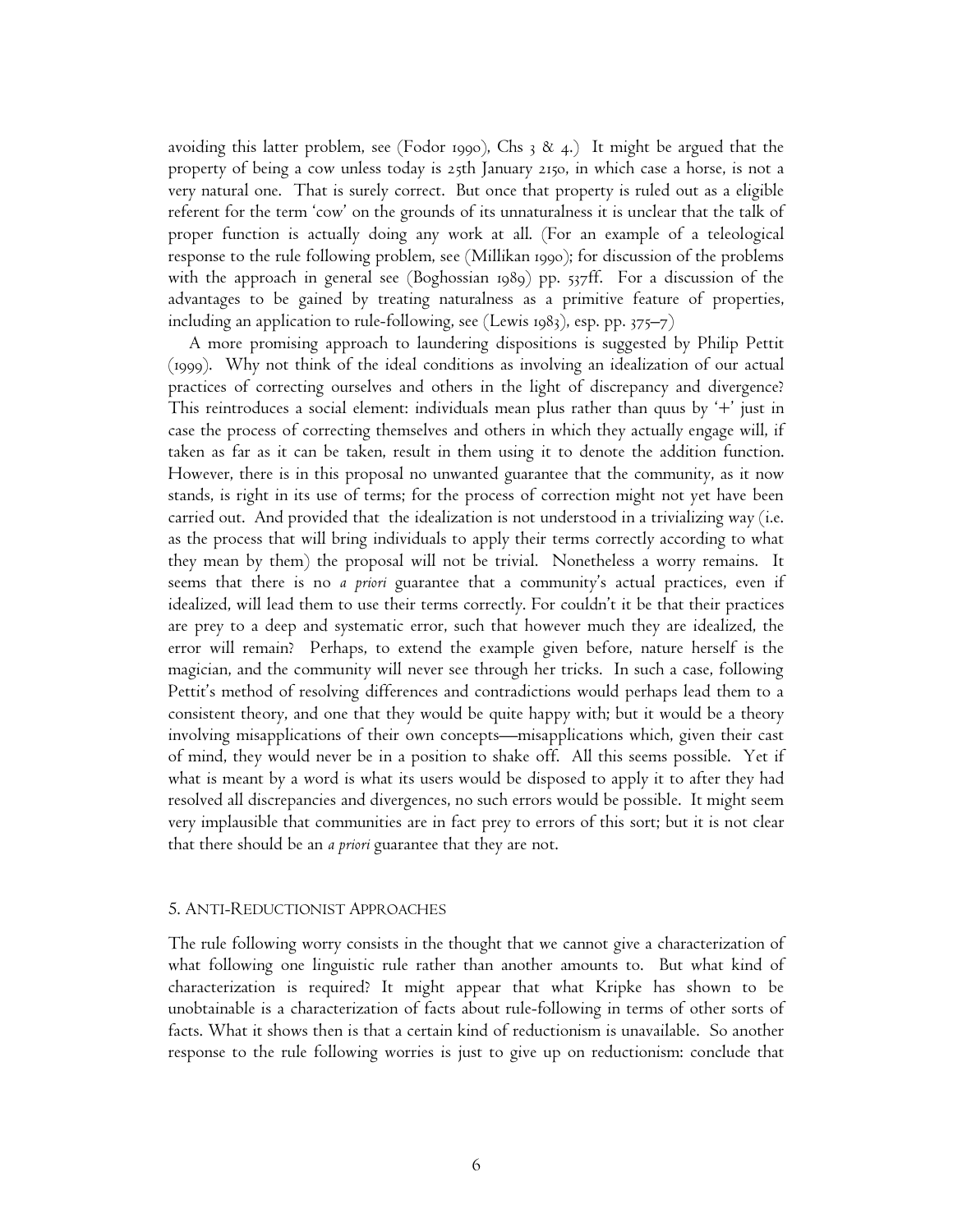avoiding this latter problem, see (Fodor 1990), Chs 3 & 4.) It might be argued that the property of being a cow unless today is 25th January 2150, in which case a horse, is not a very natural one. That is surely correct. But once that property is ruled out as a eligible referent for the term 'cow' on the grounds of its unnaturalness it is unclear that the talk of proper function is actually doing any work at all. (For an example of a teleological response to the rule following problem, see (Millikan 1990); for discussion of the problems with the approach in general see (Boghossian 1989) pp. 537ff. For a discussion of the advantages to be gained by treating naturalness as a primitive feature of properties, including an application to rule-following, see (Lewis 1983), esp. pp.  $375-7$ )

A more promising approach to laundering dispositions is suggested by Philip Pettit (1999). Why not think of the ideal conditions as involving an idealization of our actual practices of correcting ourselves and others in the light of discrepancy and divergence? This reintroduces a social element: individuals mean plus rather than quus by '+' just in case the process of correcting themselves and others in which they actually engage will, if taken as far as it can be taken, result in them using it to denote the addition function. However, there is in this proposal no unwanted guarantee that the community, as it now stands, is right in its use of terms; for the process of correction might not yet have been carried out. And provided that the idealization is not understood in a trivializing way (i.e. as the process that will bring individuals to apply their terms correctly according to what they mean by them) the proposal will not be trivial. Nonetheless a worry remains. It seems that there is no *a priori* guarantee that a community's actual practices, even if idealized, will lead them to use their terms correctly. For couldn't it be that their practices are prey to a deep and systematic error, such that however much they are idealized, the error will remain? Perhaps, to extend the example given before, nature herself is the magician, and the community will never see through her tricks. In such a case, following Pettit's method of resolving differences and contradictions would perhaps lead them to a consistent theory, and one that they would be quite happy with; but it would be a theory involving misapplications of their own concepts—misapplications which, given their cast of mind, they would never be in a position to shake off. All this seems possible. Yet if what is meant by a word is what its users would be disposed to apply it to after they had resolved all discrepancies and divergences, no such errors would be possible. It might seem very implausible that communities are in fact prey to errors of this sort; but it is not clear that there should be an *a priori* guarantee that they are not.

### 5. ANTI-REDUCTIONIST APPROACHES

The rule following worry consists in the thought that we cannot give a characterization of what following one linguistic rule rather than another amounts to. But what kind of characterization is required? It might appear that what Kripke has shown to be unobtainable is a characterization of facts about rule-following in terms of other sorts of facts. What it shows then is that a certain kind of reductionism is unavailable. So another response to the rule following worries is just to give up on reductionism: conclude that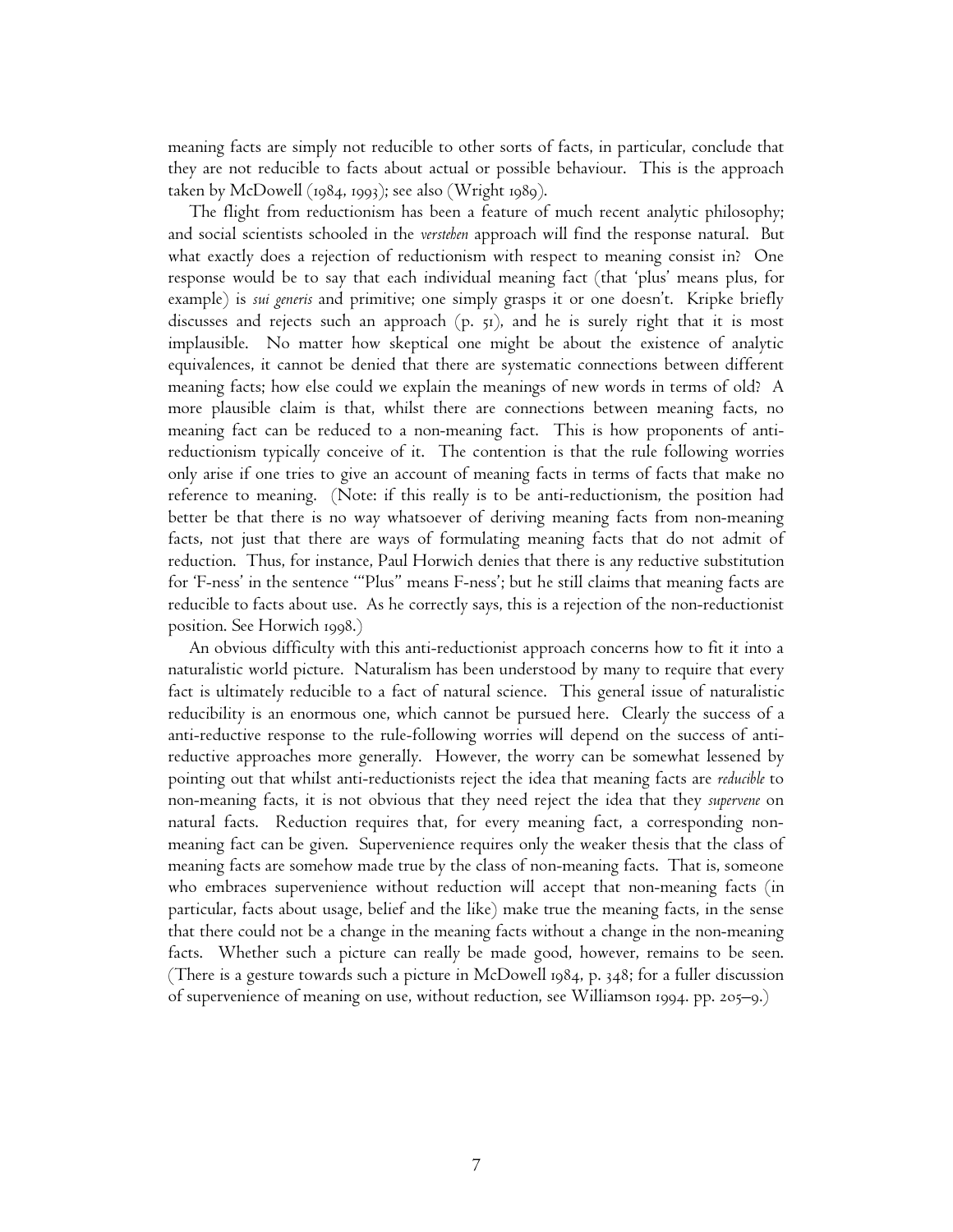meaning facts are simply not reducible to other sorts of facts, in particular, conclude that they are not reducible to facts about actual or possible behaviour. This is the approach taken by McDowell (1984, 1993); see also (Wright 1989).

The flight from reductionism has been a feature of much recent analytic philosophy; and social scientists schooled in the *verstehen* approach will find the response natural. But what exactly does a rejection of reductionism with respect to meaning consist in? One response would be to say that each individual meaning fact (that 'plus' means plus, for example) is *sui generis* and primitive; one simply grasps it or one doesn't. Kripke briefly discusses and rejects such an approach (p. 51), and he is surely right that it is most implausible. No matter how skeptical one might be about the existence of analytic equivalences, it cannot be denied that there are systematic connections between different meaning facts; how else could we explain the meanings of new words in terms of old? A more plausible claim is that, whilst there are connections between meaning facts, no meaning fact can be reduced to a non-meaning fact. This is how proponents of antireductionism typically conceive of it. The contention is that the rule following worries only arise if one tries to give an account of meaning facts in terms of facts that make no reference to meaning. (Note: if this really is to be anti-reductionism, the position had better be that there is no way whatsoever of deriving meaning facts from non-meaning facts, not just that there are ways of formulating meaning facts that do not admit of reduction. Thus, for instance, Paul Horwich denies that there is any reductive substitution for 'F-ness' in the sentence '"Plus" means F-ness'; but he still claims that meaning facts are reducible to facts about use. As he correctly says, this is a rejection of the non-reductionist position. See Horwich 1998.)

An obvious difficulty with this anti-reductionist approach concerns how to fit it into a naturalistic world picture. Naturalism has been understood by many to require that every fact is ultimately reducible to a fact of natural science. This general issue of naturalistic reducibility is an enormous one, which cannot be pursued here. Clearly the success of a anti-reductive response to the rule-following worries will depend on the success of antireductive approaches more generally. However, the worry can be somewhat lessened by pointing out that whilst anti-reductionists reject the idea that meaning facts are *reducible* to non-meaning facts, it is not obvious that they need reject the idea that they *supervene* on natural facts. Reduction requires that, for every meaning fact, a corresponding nonmeaning fact can be given. Supervenience requires only the weaker thesis that the class of meaning facts are somehow made true by the class of non-meaning facts. That is, someone who embraces supervenience without reduction will accept that non-meaning facts (in particular, facts about usage, belief and the like) make true the meaning facts, in the sense that there could not be a change in the meaning facts without a change in the non-meaning facts. Whether such a picture can really be made good, however, remains to be seen. (There is a gesture towards such a picture in McDowell 1984, p. 348; for a fuller discussion of supervenience of meaning on use, without reduction, see Williamson 1994. pp. 205–9.)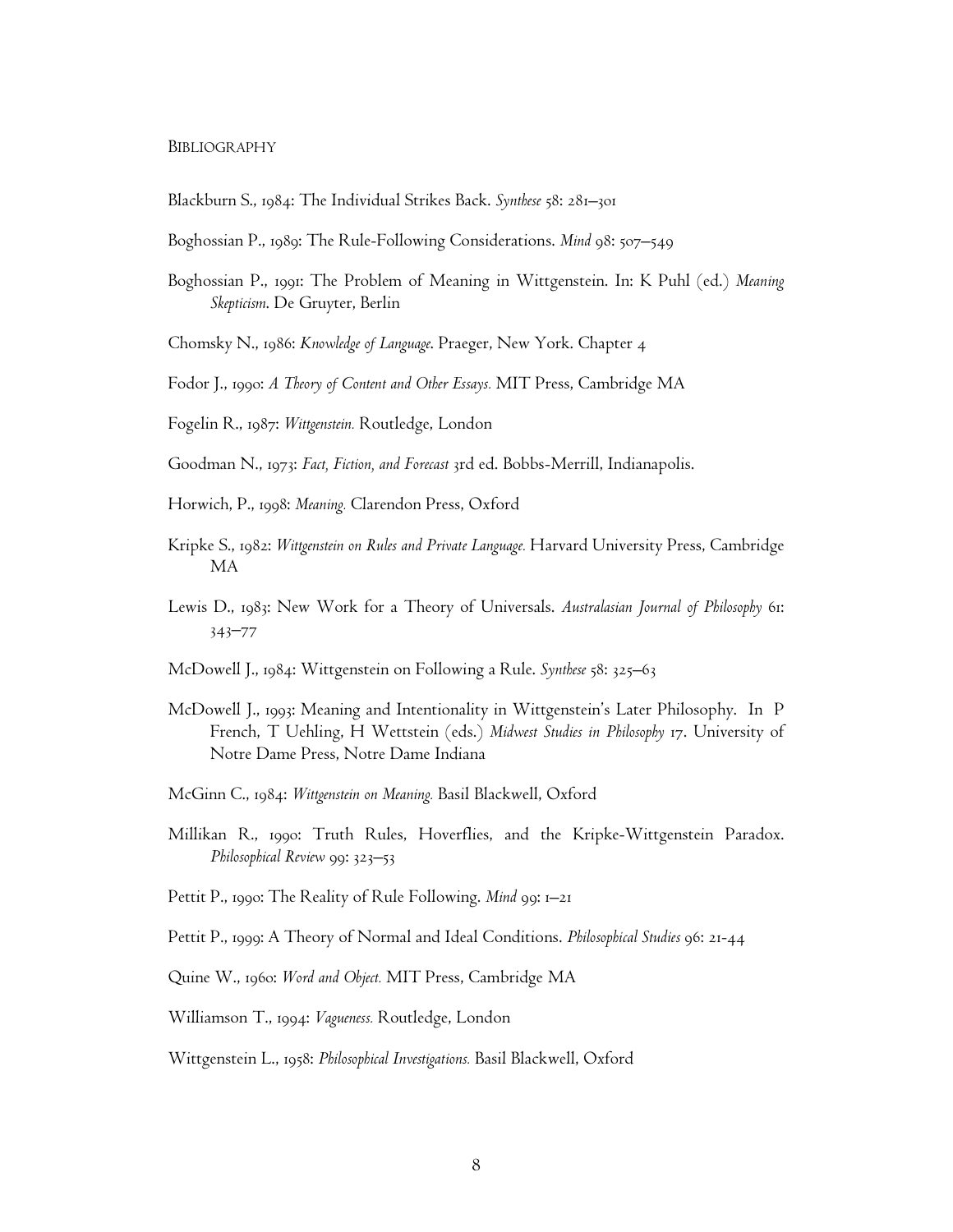#### BIBLIOGRAPHY

- Blackburn S., 1984: The Individual Strikes Back. *Synthese* 58: 281–301
- Boghossian P., 1989: The Rule-Following Considerations. *Mind* 98: 507–549
- Boghossian P., 1991: The Problem of Meaning in Wittgenstein. In: K Puhl (ed.) *Meaning Skepticism*. De Gruyter, Berlin
- Chomsky N., 1986: *Knowledge of Language*. Praeger, New York. Chapter 4
- Fodor J., 1990: *A Theory of Content and Other Essays.* MIT Press, Cambridge MA
- Fogelin R., 1987: *Wittgenstein.* Routledge, London
- Goodman N., 1973: *Fact, Fiction, and Forecast* 3rd ed. Bobbs-Merrill, Indianapolis.
- Horwich, P., 1998: *Meaning.* Clarendon Press, Oxford
- Kripke S., 1982: *Wittgenstein on Rules and Private Language.* Harvard University Press, Cambridge MA
- Lewis D., 1983: New Work for a Theory of Universals. *Australasian Journal of Philosophy* 61: 343–77
- McDowell J., 1984: Wittgenstein on Following a Rule. *Synthese* 58: 325–63
- McDowell J., 1993: Meaning and Intentionality in Wittgenstein's Later Philosophy. In P French, T Uehling, H Wettstein (eds.) *Midwest Studies in Philosophy* 17. University of Notre Dame Press, Notre Dame Indiana
- McGinn C., 1984: *Wittgenstein on Meaning.* Basil Blackwell, Oxford
- Millikan R., 1990: Truth Rules, Hoverflies, and the Kripke-Wittgenstein Paradox. *Philosophical Review* 99: 323–53
- Pettit P., 1990: The Reality of Rule Following. *Mind* 99: 1-21
- Pettit P., 1999: A Theory of Normal and Ideal Conditions. *Philosophical Studies* 96: 21-44
- Quine W., 1960: *Word and Object.* MIT Press, Cambridge MA
- Williamson T., 1994: *Vagueness.* Routledge, London

Wittgenstein L., 1958: *Philosophical Investigations.* Basil Blackwell, Oxford